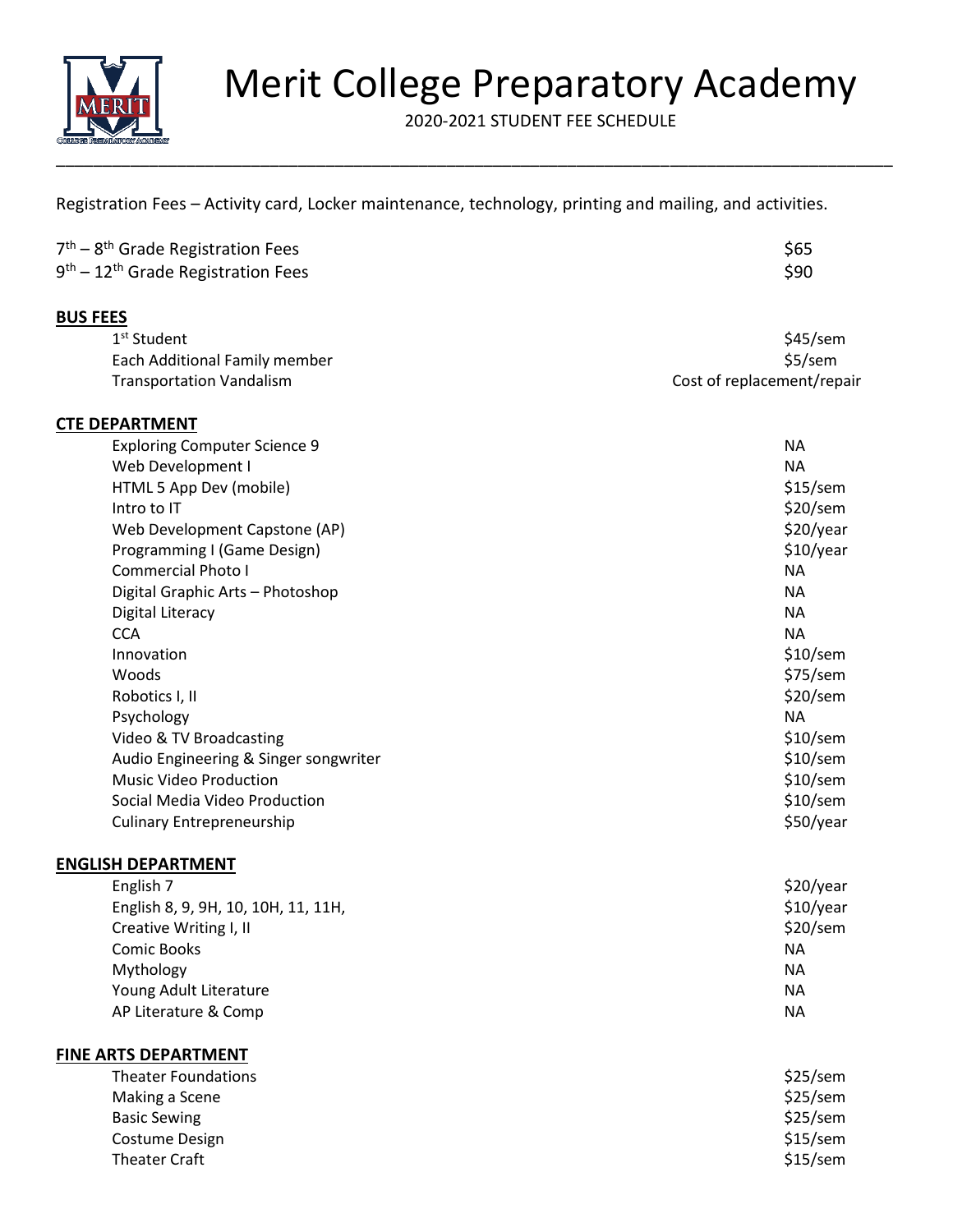

# Merit College Preparatory Academy

2020-2021 STUDENT FEE SCHEDULE

Registration Fees – Activity card, Locker maintenance, technology, printing and mailing, and activities.

| 7 <sup>th</sup> – 8 <sup>th</sup> Grade Registration Fees  | \$65 |
|------------------------------------------------------------|------|
| 9 <sup>th</sup> – 12 <sup>th</sup> Grade Registration Fees | \$90 |

#### **BUS FEES**

| 1 <sup>st</sup> Student         | \$45/sem                   |
|---------------------------------|----------------------------|
| Each Additional Family member   | \$5/sem                    |
| <b>Transportation Vandalism</b> | Cost of replacement/repair |

### **CTE DEPARTMENT**

| <b>Exploring Computer Science 9</b>   | <b>NA</b>  |
|---------------------------------------|------------|
| Web Development I                     | NA.        |
| HTML 5 App Dev (mobile)               | $$15$ /sem |
| Intro to IT                           | $$20$ /sem |
| Web Development Capstone (AP)         | \$20/year  |
| Programming I (Game Design)           | \$10/year  |
| Commercial Photo I                    | <b>NA</b>  |
| Digital Graphic Arts - Photoshop      | NA.        |
| Digital Literacy                      | NA.        |
| <b>CCA</b>                            | <b>NA</b>  |
| Innovation                            | $$10$ /sem |
| Woods                                 | \$75/sem   |
| Robotics I, II                        | $$20$ /sem |
| Psychology                            | <b>NA</b>  |
| Video & TV Broadcasting               | $$10$ /sem |
| Audio Engineering & Singer songwriter | $$10$ /sem |
| <b>Music Video Production</b>         | $$10$ /sem |
| Social Media Video Production         | $$10$ /sem |
| <b>Culinary Entrepreneurship</b>      | \$50/year  |

#### **ENGLISH DEPARTMENT**

| English 7                           | \$20/year  |
|-------------------------------------|------------|
| English 8, 9, 9H, 10, 10H, 11, 11H, | \$10/year  |
| Creative Writing I, II              | $$20$ /sem |
| Comic Books                         | <b>NA</b>  |
| Mythology                           | <b>NA</b>  |
| Young Adult Literature              | <b>NA</b>  |
| AP Literature & Comp                | <b>NA</b>  |
|                                     |            |

## **FINE ARTS DEPARTMENT**

| <b>Theater Foundations</b> | $$25$ /sem |
|----------------------------|------------|
| Making a Scene             | \$25/sem   |
| <b>Basic Sewing</b>        | \$25/sem   |
| Costume Design             | $$15$ /sem |
| Theater Craft              | $$15$ /sem |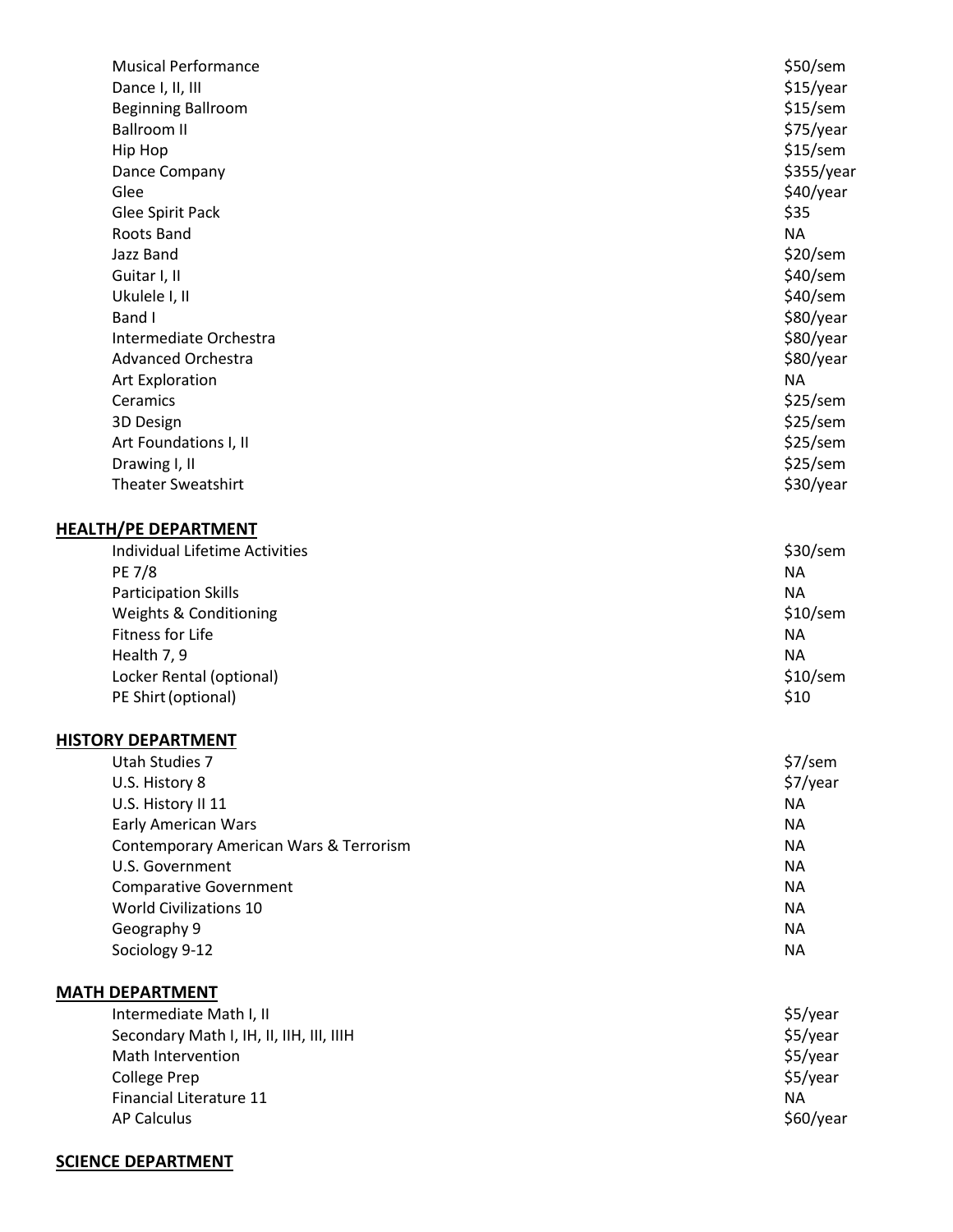| <b>Musical Performance</b>               | \$50/sem   |
|------------------------------------------|------------|
| Dance I, II, III                         | \$15/year  |
| <b>Beginning Ballroom</b>                | $$15$ /sem |
| <b>Ballroom II</b>                       | \$75/year  |
| Hip Hop                                  | $$15$ /sem |
| Dance Company                            | \$355/year |
| Glee                                     | \$40/year  |
| Glee Spirit Pack                         | \$35       |
| Roots Band                               | <b>NA</b>  |
| Jazz Band                                | $$20$ /sem |
| Guitar I, II                             | $$40$ /sem |
| Ukulele I, II                            | \$40/sem   |
| Band I                                   | \$80/year  |
| Intermediate Orchestra                   | \$80/year  |
| <b>Advanced Orchestra</b>                | \$80/year  |
| Art Exploration                          | <b>NA</b>  |
| Ceramics                                 | \$25/sem   |
| 3D Design                                | \$25/sem   |
| Art Foundations I, II                    | \$25/sem   |
| Drawing I, II                            | \$25/sem   |
| <b>Theater Sweatshirt</b>                | \$30/year  |
|                                          |            |
| <b>HEALTH/PE DEPARTMENT</b>              |            |
| Individual Lifetime Activities           | $$30$ /sem |
| <b>PE 7/8</b>                            | <b>NA</b>  |
| <b>Participation Skills</b>              | <b>NA</b>  |
| Weights & Conditioning                   | $$10$ /sem |
| Fitness for Life                         | <b>NA</b>  |
| Health 7, 9                              | <b>NA</b>  |
| Locker Rental (optional)                 | $$10$ /sem |
| PE Shirt (optional)                      | \$10       |
|                                          |            |
| <b>HISTORY DEPARTMENT</b>                |            |
| Utah Studies 7                           | \$7/sem    |
| U.S. History 8                           | \$7/year   |
| U.S. History II 11                       | <b>NA</b>  |
| <b>Early American Wars</b>               | <b>NA</b>  |
| Contemporary American Wars & Terrorism   | <b>NA</b>  |
| U.S. Government                          | <b>NA</b>  |
| <b>Comparative Government</b>            | <b>NA</b>  |
| <b>World Civilizations 10</b>            | <b>NA</b>  |
| Geography 9                              | <b>NA</b>  |
| Sociology 9-12                           | <b>NA</b>  |
|                                          |            |
| <b>MATH DEPARTMENT</b>                   |            |
| Intermediate Math I, II                  | \$5/year   |
| Secondary Math I, IH, II, IIH, III, IIIH | \$5/year   |
| Math Intervention                        | \$5/year   |
| <b>College Prep</b>                      | \$5/year   |
| Financial Literature 11                  | <b>NA</b>  |
| <b>AP Calculus</b>                       | \$60/year  |
|                                          |            |

## **SCIENCE DEPARTMENT**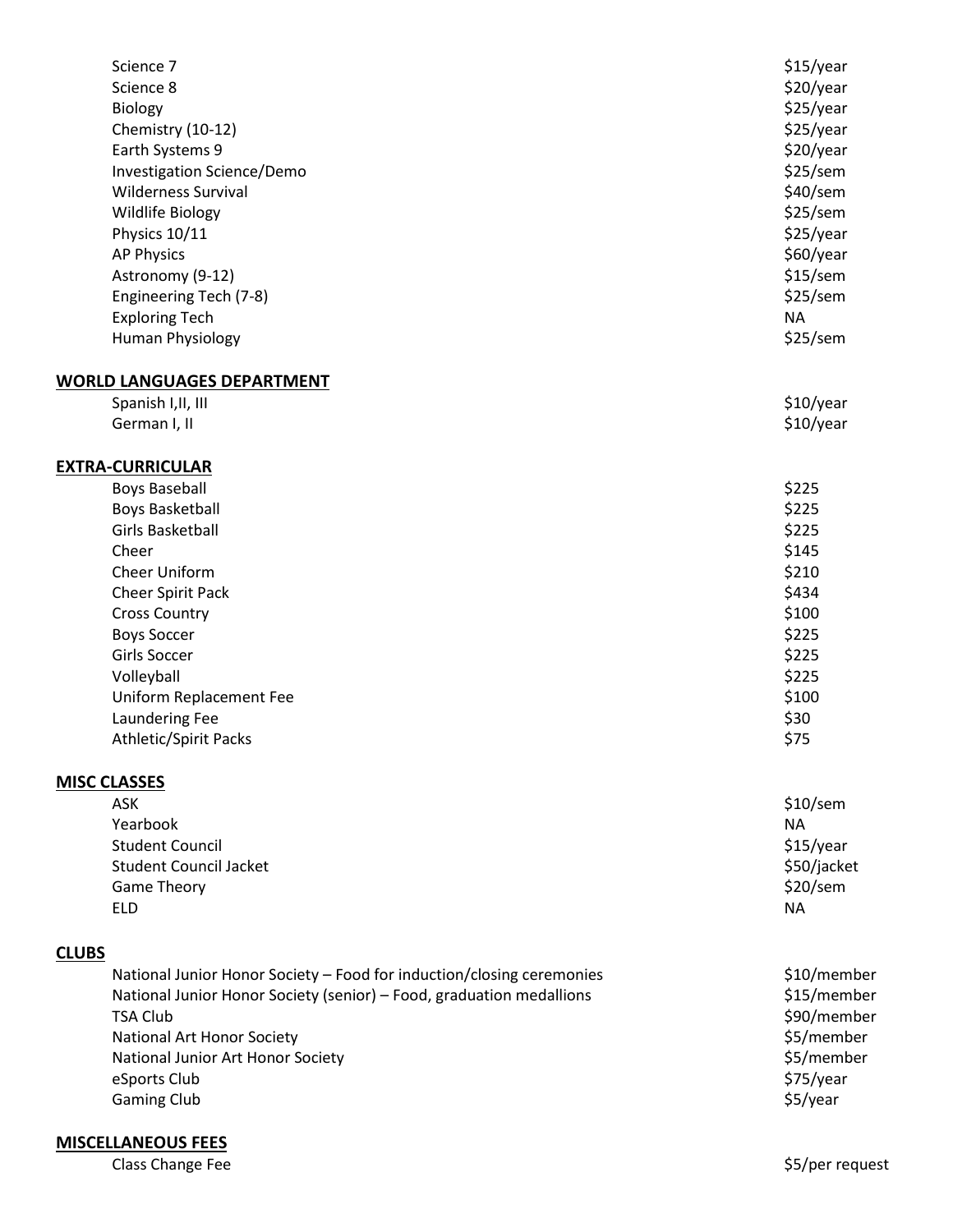| Science 7                                                             | \$15/year               |
|-----------------------------------------------------------------------|-------------------------|
| Science 8                                                             | \$20/year               |
| Biology                                                               | \$25/year               |
| Chemistry (10-12)                                                     | \$25/year               |
| Earth Systems 9                                                       | \$20/year               |
| Investigation Science/Demo                                            | \$25/sem                |
| <b>Wilderness Survival</b>                                            | \$40/sem                |
| Wildlife Biology                                                      | \$25/sem                |
| Physics 10/11                                                         | \$25/year               |
| <b>AP Physics</b>                                                     | \$60/year               |
| Astronomy (9-12)                                                      | \$15/sem                |
| Engineering Tech (7-8)                                                | \$25/sem                |
| <b>Exploring Tech</b>                                                 | <b>NA</b>               |
| Human Physiology                                                      | \$25/sem                |
| <b>WORLD LANGUAGES DEPARTMENT</b>                                     |                         |
| Spanish I, II, III                                                    | \$10/year               |
| German I, II                                                          | \$10/year               |
| <b>EXTRA-CURRICULAR</b>                                               |                         |
| <b>Boys Baseball</b>                                                  | \$225                   |
| <b>Boys Basketball</b>                                                | \$225                   |
| <b>Girls Basketball</b>                                               | \$225                   |
| Cheer                                                                 | \$145                   |
| Cheer Uniform                                                         | \$210                   |
| Cheer Spirit Pack                                                     | \$434                   |
| <b>Cross Country</b>                                                  | \$100                   |
| <b>Boys Soccer</b>                                                    | \$225                   |
| <b>Girls Soccer</b>                                                   | \$225                   |
| Volleyball                                                            | \$225                   |
| Uniform Replacement Fee                                               | \$100                   |
| <b>Laundering Fee</b>                                                 | \$30                    |
| <b>Athletic/Spirit Packs</b>                                          | \$75                    |
| <b>MISC CLASSES</b>                                                   |                         |
| <b>ASK</b>                                                            | $$10$ /sem              |
| Yearbook                                                              | <b>NA</b>               |
| <b>Student Council</b>                                                | \$15/year               |
| <b>Student Council Jacket</b>                                         | \$50/jacket<br>\$20/sem |
| <b>Game Theory</b>                                                    | <b>NA</b>               |
| <b>ELD</b>                                                            |                         |
| <b>CLUBS</b>                                                          |                         |
| National Junior Honor Society - Food for induction/closing ceremonies | \$10/member             |
| National Junior Honor Society (senior) - Food, graduation medallions  | \$15/member             |
| <b>TSA Club</b>                                                       | \$90/member             |
| National Art Honor Society                                            | \$5/member              |
| National Junior Art Honor Society                                     | \$5/member              |
| eSports Club                                                          | \$75/year               |
| <b>Gaming Club</b>                                                    | \$5/year                |
|                                                                       |                         |

# **MISCELLANEOUS FEES**

Class Change Fee **\$5/per request**